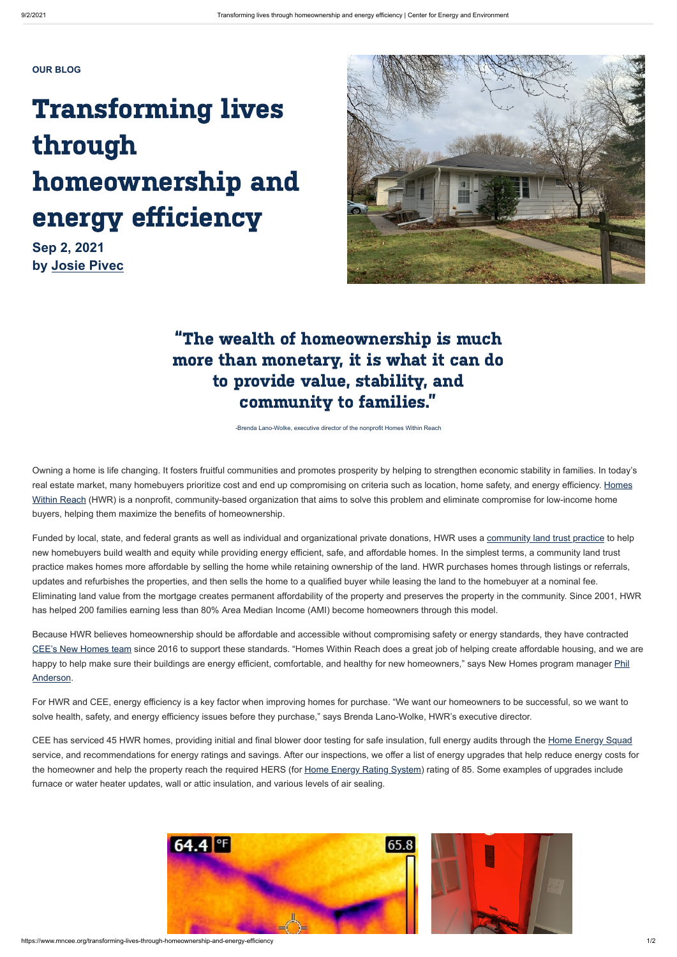## "The wealth of homeownership is much more than monetary, it is what it can do to provide value, stability, and community to families."

-Brenda Lano-Wolke, executive director of the nonprofit Homes Within Reach

Owning a home is life changing. It fosters fruitful communities and promotes prosperity by helping to strengthen economic stability in families. In today's [real estate market, many homebuyers prioritize cost and end up compromising on criteria such as location, home safety, and energy efficiency. Homes](http://homeswithinreach.org/wp/) Within Reach (HWR) is a nonprofit, community-based organization that aims to solve this problem and eliminate compromise for low-income home buyers, helping them maximize the benefits of homeownership.

Funded by local, state, and federal grants as well as individual and organizational private donations, HWR uses a [community land trust practice](http://homeswithinreach.org/wp/faq-2/) to help new homebuyers build wealth and equity while providing energy efficient, safe, and affordable homes. In the simplest terms, a community land trust practice makes homes more affordable by selling the home while retaining ownership of the land. HWR purchases homes through listings or referrals, updates and refurbishes the properties, and then sells the home to a qualified buyer while leasing the land to the homebuyer at a nominal fee. Eliminating land value from the mortgage creates permanent affordability of the property and preserves the property in the community. Since 2001, HWR has helped 200 families earning less than 80% Area Median Income (AMI) become homeowners through this model.

CEE has serviced 45 HWR homes, providing initial and final blower door testing for safe insulation, full energy audits through the [Home Energy Squad](https://www.mncee.org/home-energy-squad) service, and recommendations for energy ratings and savings. After our inspections, we offer a list of energy upgrades that help reduce energy costs for the homeowner and help the property reach the required HERS (for [Home Energy Rating System](https://www.resnet.us/raters/hers-raters/)) rating of 85. Some examples of upgrades include furnace or water heater updates, wall or attic insulation, and various levels of air sealing.



https://www.mncee.org/transforming-lives-through-homeownership-and-energy-efficiency 1/2

## Transforming lives through homeownership and energy efficiency

Because HWR believes homeownership should be affordable and accessible without compromising safety or energy standards, they have contracted [CEE's New Homes team](https://www.mncee.org/new-construction-services) since 2016 to support these standards. "Homes Within Reach does a great job of helping create affordable housing, and we are happy to help make sure their buildings are energy efficient, comfortable, and healthy for new homeowners," says New Homes program manager *Phil* Anderson.

For HWR and CEE, energy efficiency is a key factor when improving homes for purchase. "We want our homeowners to be successful, so we want to solve health, safety, and energy efficiency issues before they purchase," says Brenda Lano-Wolke, HWR's executive director.

## **OUR BLOG**

**Sep 2, 2021 by [Josie Pivec](https://www.mncee.org/josie-pivec)**